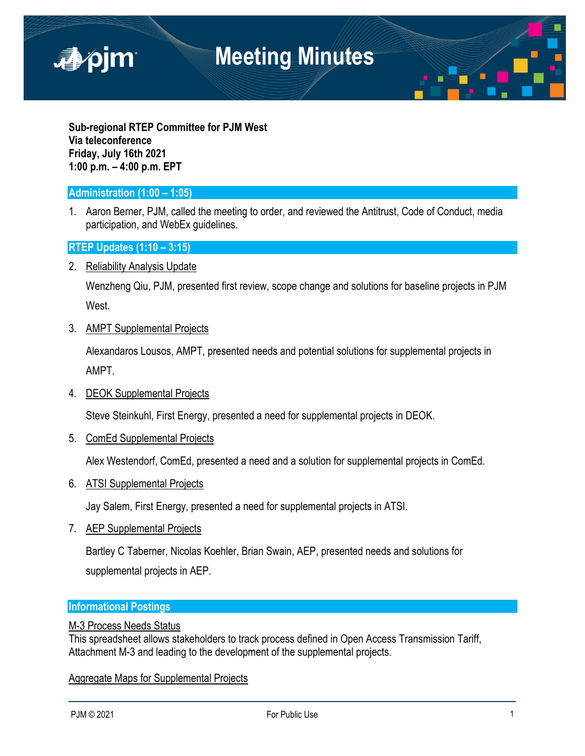

**Sub-regional RTEP Committee for PJM West Via teleconference Friday, July 16th 2021 1:00 p.m. – 4:00 p.m. EPT**

## **Administration (1:00 – 1:05)**

1. Aaron Berner, PJM, called the meeting to order, and reviewed the Antitrust, Code of Conduct, media participation, and WebEx guidelines.

## **RTEP Updates (1:10 – 3:15)**

2. Reliability Analysis Update

Wenzheng Qiu, PJM, presented first review, scope change and solutions for baseline projects in PJM West.

## 3. AMPT Supplemental Projects

Alexandaros Lousos, AMPT, presented needs and potential solutions for supplemental projects in AMPT.

## 4. DEOK Supplemental Projects

Steve Steinkuhl, First Energy, presented a need for supplemental projects in DEOK.

5. ComEd Supplemental Projects

Alex Westendorf, ComEd, presented a need and a solution for supplemental projects in ComEd.

6. ATSI Supplemental Projects

Jay Salem, First Energy, presented a need for supplemental projects in ATSI.

7. AEP Supplemental Projects

Bartley C Taberner, Nicolas Koehler, Brian Swain, AEP, presented needs and solutions for supplemental projects in AEP.

#### **Informational Postings**

#### M-3 Process Needs Status

This spreadsheet allows stakeholders to track process defined in Open Access Transmission Tariff, Attachment M-3 and leading to the development of the supplemental projects.

## Aggregate Maps for Supplemental Projects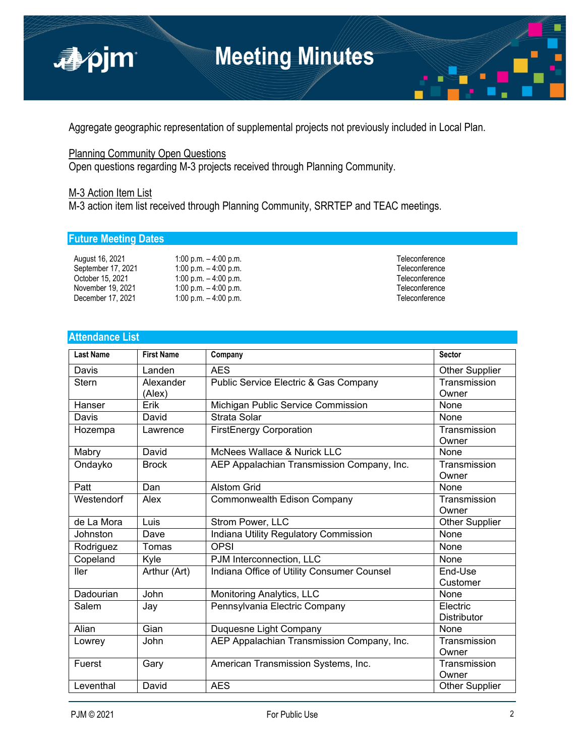

Aggregate geographic representation of supplemental projects not previously included in Local Plan.

## **Planning Community Open Questions**

Open questions regarding M-3 projects received through Planning Community.

## M-3 Action Item List

M-3 action item list received through Planning Community, SRRTEP and TEAC meetings.

## **Future Meeting Dates**

| August 16, 2021    | 1:00 p.m. $-$ 4:00 p.m. | Teleconference |
|--------------------|-------------------------|----------------|
| September 17, 2021 | 1:00 p.m. $-$ 4:00 p.m. | Teleconference |
| October 15, 2021   | 1:00 p.m. $-$ 4:00 p.m. | Teleconference |
| November 19, 2021  | 1:00 p.m. $-$ 4:00 p.m. | Teleconference |
| December 17, 2021  | 1:00 p.m. $-$ 4:00 p.m. | Teleconference |

## **Attendance List**

| <b>Last Name</b> | <b>First Name</b> | Company                                    | <b>Sector</b>         |
|------------------|-------------------|--------------------------------------------|-----------------------|
| Davis            | Landen            | <b>AES</b>                                 | <b>Other Supplier</b> |
| Stern            | Alexander         | Public Service Electric & Gas Company      | Transmission          |
|                  | (Alex)            |                                            | Owner                 |
| Hanser           | Erik              | Michigan Public Service Commission         | None                  |
| Davis            | David             | Strata Solar                               | None                  |
| Hozempa          | Lawrence          | <b>FirstEnergy Corporation</b>             | Transmission<br>Owner |
| Mabry            | David             | McNees Wallace & Nurick LLC                | None                  |
| Ondayko          | <b>Brock</b>      | AEP Appalachian Transmission Company, Inc. | Transmission          |
|                  |                   |                                            | Owner                 |
| Patt             | Dan               | <b>Alstom Grid</b>                         | None                  |
| Westendorf       | Alex              | Commonwealth Edison Company                | Transmission          |
|                  |                   |                                            | Owner                 |
| de La Mora       | Luis              | Strom Power, LLC                           | <b>Other Supplier</b> |
| Johnston         | Dave              | Indiana Utility Regulatory Commission      | None                  |
| Rodriguez        | Tomas             | <b>OPSI</b>                                | None                  |
| Copeland         | Kyle              | PJM Interconnection, LLC                   | None                  |
| <b>Iler</b>      | Arthur (Art)      | Indiana Office of Utility Consumer Counsel | End-Use               |
|                  |                   |                                            | Customer              |
| Dadourian        | John              | Monitoring Analytics, LLC                  | None                  |
| Salem            | Jay               | Pennsylvania Electric Company              | Electric              |
|                  |                   |                                            | <b>Distributor</b>    |
| Alian            | Gian              | Duquesne Light Company                     | None                  |
| Lowrey           | John              | AEP Appalachian Transmission Company, Inc. | Transmission          |
|                  |                   |                                            | Owner                 |
| Fuerst           | Gary              | American Transmission Systems, Inc.        | Transmission          |
|                  |                   |                                            | Owner                 |
| Leventhal        | David             | <b>AES</b>                                 | <b>Other Supplier</b> |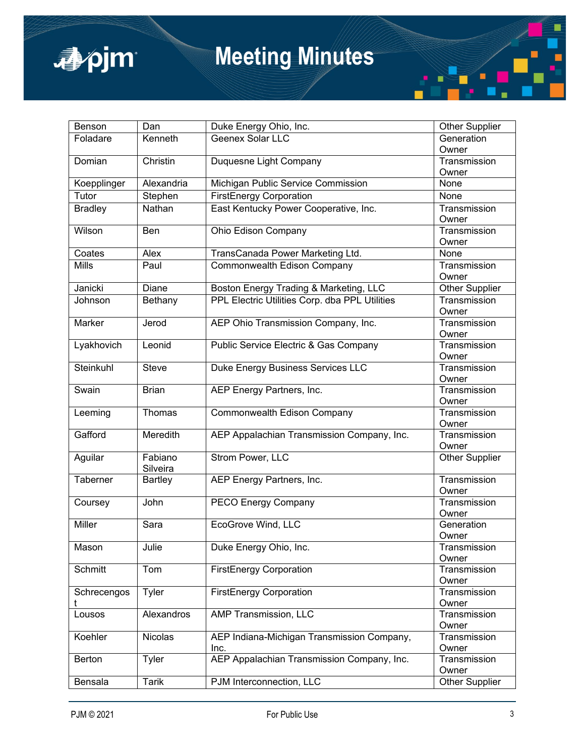

# **Meeting Minutes**

| Benson           | Dan                 | Duke Energy Ohio, Inc.                         | <b>Other Supplier</b> |
|------------------|---------------------|------------------------------------------------|-----------------------|
| Foladare         | Kenneth             | Geenex Solar LLC                               | Generation<br>Owner   |
| Domian           | Christin            | Duquesne Light Company                         | Transmission<br>Owner |
| Koepplinger      | Alexandria          | Michigan Public Service Commission             | None                  |
| Tutor            | Stephen             | <b>FirstEnergy Corporation</b>                 | None                  |
| <b>Bradley</b>   | Nathan              | East Kentucky Power Cooperative, Inc.          | Transmission<br>Owner |
| Wilson           | <b>Ben</b>          | Ohio Edison Company                            | Transmission<br>Owner |
| Coates           | Alex                | TransCanada Power Marketing Ltd.               | None                  |
| <b>Mills</b>     | Paul                | Commonwealth Edison Company                    | Transmission<br>Owner |
| Janicki          | <b>Diane</b>        | Boston Energy Trading & Marketing, LLC         | Other Supplier        |
| Johnson          | Bethany             | PPL Electric Utilities Corp. dba PPL Utilities | Transmission<br>Owner |
| Marker           | Jerod               | AEP Ohio Transmission Company, Inc.            | Transmission<br>Owner |
| Lyakhovich       | Leonid              | Public Service Electric & Gas Company          | Transmission<br>Owner |
| Steinkuhl        | <b>Steve</b>        | Duke Energy Business Services LLC              | Transmission<br>Owner |
| Swain            | <b>Brian</b>        | AEP Energy Partners, Inc.                      | Transmission<br>Owner |
| Leeming          | Thomas              | Commonwealth Edison Company                    | Transmission<br>Owner |
| Gafford          | Meredith            | AEP Appalachian Transmission Company, Inc.     | Transmission<br>Owner |
| Aguilar          | Fabiano<br>Silveira | Strom Power, LLC                               | <b>Other Supplier</b> |
| Taberner         | <b>Bartley</b>      | AEP Energy Partners, Inc.                      | Transmission<br>Owner |
| Coursey          | John                | PECO Energy Company                            | Transmission<br>Owner |
| <b>Miller</b>    | Sara                | <b>EcoGrove Wind, LLC</b>                      | Generation<br>Owner   |
| Mason            | Julie               | Duke Energy Ohio, Inc.                         | Transmission<br>Owner |
| Schmitt          | Tom                 | <b>FirstEnergy Corporation</b>                 | Transmission<br>Owner |
| Schrecengos<br>t | Tyler               | <b>FirstEnergy Corporation</b>                 | Transmission<br>Owner |
| Lousos           | <b>Alexandros</b>   | <b>AMP Transmission, LLC</b>                   | Transmission<br>Owner |
| Koehler          | Nicolas             | AEP Indiana-Michigan Transmission Company,     | Transmission          |
|                  |                     | Inc.                                           | Owner                 |
| Berton           | Tyler               | AEP Appalachian Transmission Company, Inc.     | Transmission<br>Owner |
| Bensala          | <b>Tarik</b>        | PJM Interconnection, LLC                       | <b>Other Supplier</b> |

×